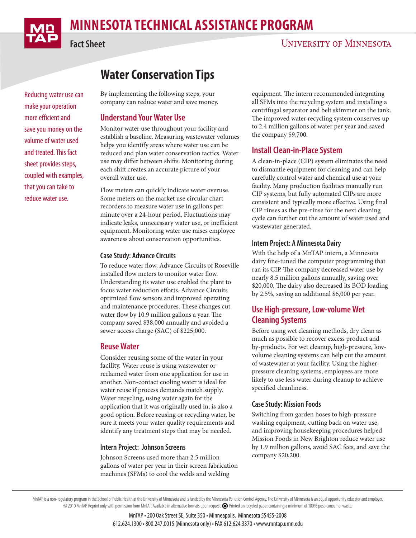# **MINNESOTA TECHNICAL ASSISTANCE PROGRAM**

# **UNIVERSITY OF MINNESOTA**

Reducing water use can make your operation more efficient and save you money on the volume of water used and treated. This fact sheet provides steps, coupled with examples, that you can take to reduce water use.

# **Water Conservation Tips**

By implementing the following steps, your company can reduce water and save money.

## **Understand Your Water Use**

Monitor water use throughout your facility and establish a baseline. Measuring wastewater volumes helps you identify areas where water use can be reduced and plan water conservation tactics. Water use may differ between shifts. Monitoring during each shift creates an accurate picture of your overall water use.

Flow meters can quickly indicate water overuse. Some meters on the market use circular chart recorders to measure water use in gallons per minute over a 24-hour period. Fluctuations may indicate leaks, unnecessary water use, or inefficient equipment. Monitoring water use raises employee awareness about conservation opportunities.

#### **Case Study: Advance Circuits**

To reduce water flow, Advance Circuits of Roseville installed flow meters to monitor water flow. Understanding its water use enabled the plant to focus water reduction efforts. Advance Circuits optimized flow sensors and improved operating and maintenance procedures. These changes cut water flow by 10.9 million gallons a year. The company saved \$38,000 annually and avoided a sewer access charge (SAC) of \$225,000.

## **Reuse Water**

Consider reusing some of the water in your facility. Water reuse is using wastewater or reclaimed water from one application for use in another. Non-contact cooling water is ideal for water reuse if process demands match supply. Water recycling, using water again for the application that it was originally used in, is also a good option. Before reusing or recycling water, be sure it meets your water quality requirements and identify any treatment steps that may be needed.

#### **Intern Project: Johnson Screens**

Johnson Screens used more than 2.5 million gallons of water per year in their screen fabrication machines (SFMs) to cool the welds and welding

equipment. The intern recommended integrating all SFMs into the recycling system and installing a centrifugal separator and belt skimmer on the tank. The improved water recycling system conserves up to 2.4 million gallons of water per year and saved the company \$9,700.

# **Install Clean-in-Place System**

A clean-in-place (CIP) system eliminates the need to dismantle equipment for cleaning and can help carefully control water and chemical use at your facility. Many production facilities manually run CIP systems, but fully automated CIPs are more consistent and typically more effective. Using final CIP rinses as the pre-rinse for the next cleaning cycle can further cut the amount of water used and wastewater generated.

#### **Intern Project: A Minnesota Dairy**

With the help of a MnTAP intern, a Minnesota dairy fine-tuned the computer programming that ran its CIP. The company decreased water use by nearly 8.5 million gallons annually, saving over \$20,000. The dairy also decreased its BOD loading by 2.5%, saving an additional \$6,000 per year.

# **Use High-pressure, Low-volume Wet Cleaning Systems**

Before using wet cleaning methods, dry clean as much as possible to recover excess product and by-products. For wet cleanup, high-pressure, lowvolume cleaning systems can help cut the amount of wastewater at your facility. Using the higherpressure cleaning systems, employees are more likely to use less water during cleanup to achieve specified cleanliness.

#### **Case Study: Mission Foods**

Switching from garden hoses to high-pressure washing equipment, cutting back on water use, and improving housekeeping procedures helped Mission Foods in New Brighton reduce water use by 1.9 million gallons, avoid SAC fees, and save the company \$20,200.

MnTAP is a non-regulatory program in the School of Public Health at the University of Minnesota and is funded by the Minnesota Pollution Control Agency. The University of Minnesota is an equal opportunity educator and empl © 2010 MnTAP. Reprint only with permission from MnTAP. Available in alternative formats upon request. Printed on recycled paper containing a minimum of 100% post-consumer waste.